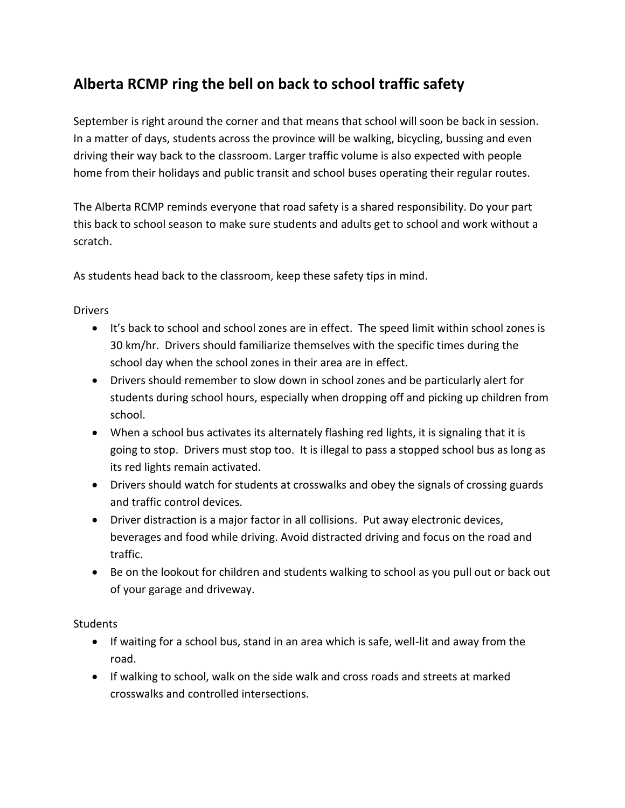## **Alberta RCMP ring the bell on back to school traffic safety**

September is right around the corner and that means that school will soon be back in session. In a matter of days, students across the province will be walking, bicycling, bussing and even driving their way back to the classroom. Larger traffic volume is also expected with people home from their holidays and public transit and school buses operating their regular routes.

The Alberta RCMP reminds everyone that road safety is a shared responsibility. Do your part this back to school season to make sure students and adults get to school and work without a scratch.

As students head back to the classroom, keep these safety tips in mind.

Drivers

- It's back to school and school zones are in effect. The speed limit within school zones is 30 km/hr. Drivers should familiarize themselves with the specific times during the school day when the school zones in their area are in effect.
- Drivers should remember to slow down in school zones and be particularly alert for students during school hours, especially when dropping off and picking up children from school.
- When a school bus activates its alternately flashing red lights, it is signaling that it is going to stop. Drivers must stop too. It is illegal to pass a stopped school bus as long as its red lights remain activated.
- Drivers should watch for students at crosswalks and obey the signals of crossing guards and traffic control devices.
- Driver distraction is a major factor in all collisions. Put away electronic devices, beverages and food while driving. Avoid distracted driving and focus on the road and traffic.
- Be on the lookout for children and students walking to school as you pull out or back out of your garage and driveway.

**Students** 

- If waiting for a school bus, stand in an area which is safe, well-lit and away from the road.
- If walking to school, walk on the side walk and cross roads and streets at marked crosswalks and controlled intersections.